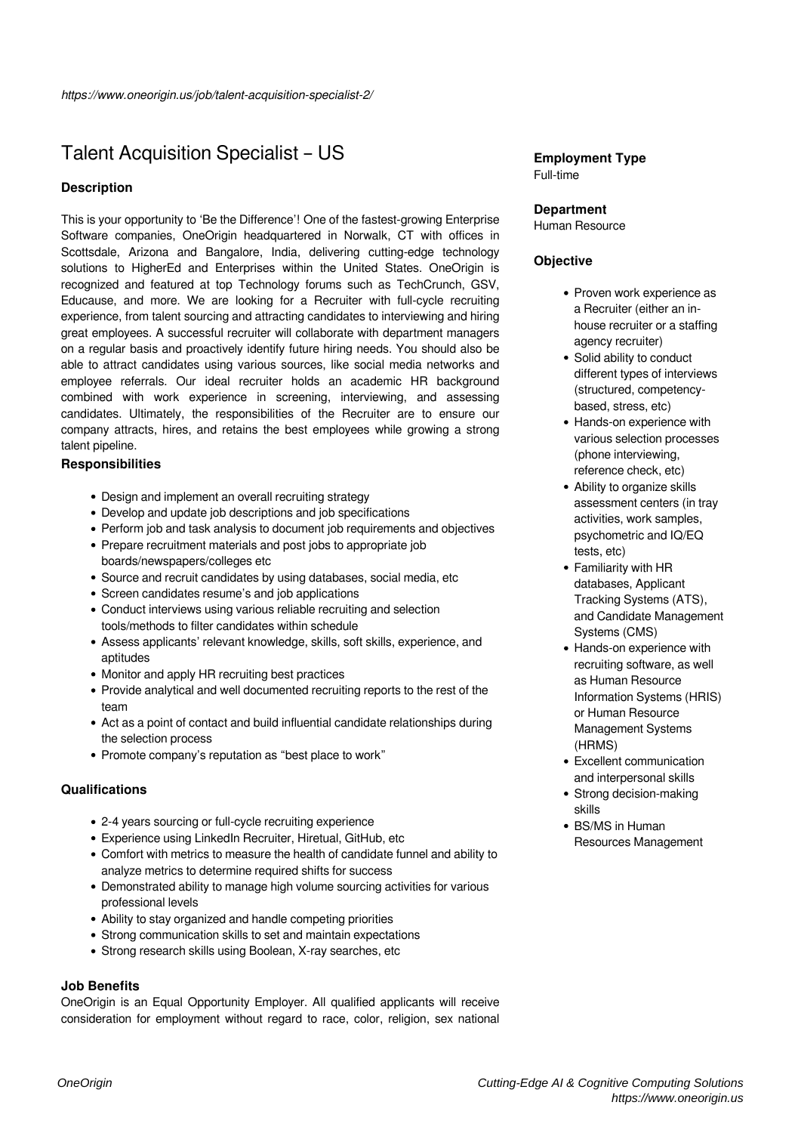# Talent Acquisition Specialist – US

# **Description**

This is your opportunity to 'Be the Difference'! One of the fastest-growing Enterprise Software companies, OneOrigin headquartered in Norwalk, CT with offices in Scottsdale, Arizona and Bangalore, India, delivering cutting-edge technology solutions to HigherEd and Enterprises within the United States. OneOrigin is recognized and featured at top Technology forums such as TechCrunch, GSV, Educause, and more. We are looking for a Recruiter with full-cycle recruiting experience, from talent sourcing and attracting candidates to interviewing and hiring great employees. A successful recruiter will collaborate with department managers on a regular basis and proactively identify future hiring needs. You should also be able to attract candidates using various sources, like social media networks and employee referrals. Our ideal recruiter holds an academic HR background combined with work experience in screening, interviewing, and assessing candidates. Ultimately, the responsibilities of the Recruiter are to ensure our company attracts, hires, and retains the best employees while growing a strong talent pipeline.

## **Responsibilities**

- Design and implement an overall recruiting strategy
- Develop and update job descriptions and job specifications
- Perform job and task analysis to document job requirements and objectives
- Prepare recruitment materials and post jobs to appropriate job boards/newspapers/colleges etc
- Source and recruit candidates by using databases, social media, etc
- Screen candidates resume's and job applications
- Conduct interviews using various reliable recruiting and selection tools/methods to filter candidates within schedule
- Assess applicants' relevant knowledge, skills, soft skills, experience, and aptitudes
- Monitor and apply HR recruiting best practices
- Provide analytical and well documented recruiting reports to the rest of the team
- Act as a point of contact and build influential candidate relationships during the selection process
- Promote company's reputation as "best place to work"

## **Qualifications**

- 2-4 years sourcing or full-cycle recruiting experience
- Experience using LinkedIn Recruiter, Hiretual, GitHub, etc
- Comfort with metrics to measure the health of candidate funnel and ability to analyze metrics to determine required shifts for success
- Demonstrated ability to manage high volume sourcing activities for various professional levels
- Ability to stay organized and handle competing priorities
- Strong communication skills to set and maintain expectations
- Strong research skills using Boolean, X-ray searches, etc

## **Job Benefits**

OneOrigin is an Equal Opportunity Employer. All qualified applicants will receive consideration for employment without regard to race, color, religion, sex national

#### **Employment Type** Full-time

# **Department**

Human Resource

## **Objective**

- Proven work experience as a Recruiter (either an inhouse recruiter or a staffing agency recruiter)
- Solid ability to conduct different types of interviews (structured, competencybased, stress, etc)
- Hands-on experience with various selection processes (phone interviewing, reference check, etc)
- Ability to organize skills assessment centers (in tray activities, work samples, psychometric and IQ/EQ tests, etc)
- Familiarity with HR databases, Applicant Tracking Systems (ATS), and Candidate Management Systems (CMS)
- Hands-on experience with recruiting software, as well as Human Resource Information Systems (HRIS) or Human Resource Management Systems (HRMS)
- Excellent communication and interpersonal skills
- Strong decision-making skills
- BS/MS in Human Resources Management